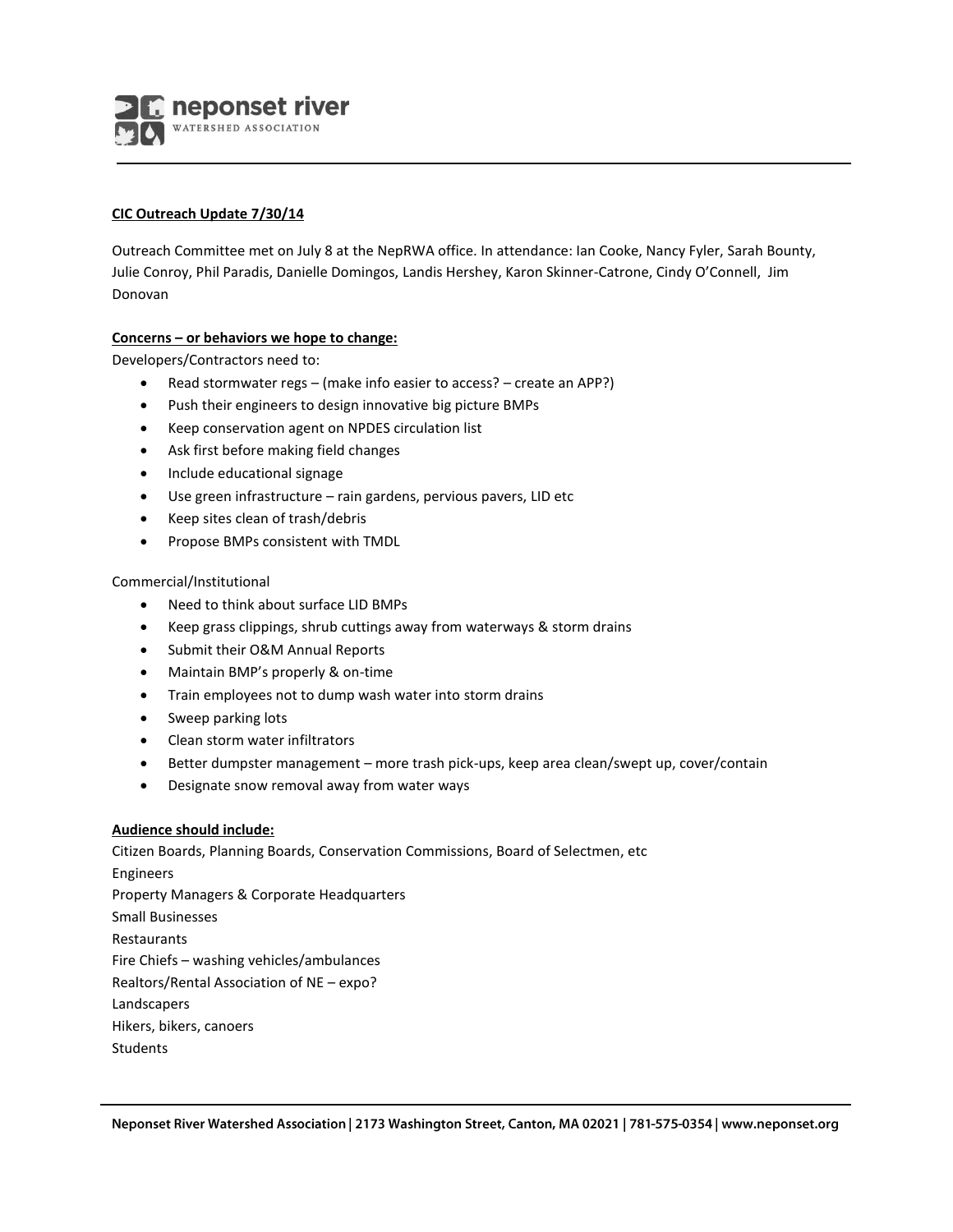neponset river WATERSHED ASSOCIATION

## **CIC Outreach Update 7/30/14**

Outreach Committee met on July 8 at the NepRWA office. In attendance: Ian Cooke, Nancy Fyler, Sarah Bounty, Julie Conroy, Phil Paradis, Danielle Domingos, Landis Hershey, Karon Skinner-Catrone, Cindy O'Connell, Jim Donovan

# **Concerns – or behaviors we hope to change:**

Developers/Contractors need to:

- Read stormwater regs (make info easier to access? create an APP?)
- Push their engineers to design innovative big picture BMPs
- Keep conservation agent on NPDES circulation list
- Ask first before making field changes
- Include educational signage
- Use green infrastructure rain gardens, pervious pavers, LID etc
- Keep sites clean of trash/debris
- Propose BMPs consistent with TMDL

### Commercial/Institutional

- Need to think about surface LID BMPs
- Keep grass clippings, shrub cuttings away from waterways & storm drains
- Submit their O&M Annual Reports
- Maintain BMP's properly & on-time
- Train employees not to dump wash water into storm drains
- Sweep parking lots
- Clean storm water infiltrators
- Better dumpster management more trash pick-ups, keep area clean/swept up, cover/contain
- Designate snow removal away from water ways

### **Audience should include:**

Citizen Boards, Planning Boards, Conservation Commissions, Board of Selectmen, etc Engineers Property Managers & Corporate Headquarters Small Businesses Restaurants Fire Chiefs – washing vehicles/ambulances Realtors/Rental Association of NE – expo? Landscapers Hikers, bikers, canoers **Students**